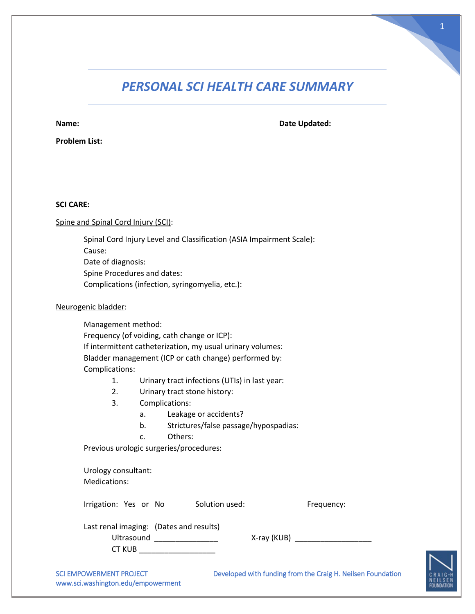# *PERSONAL SCI HEALTH CARE SUMMARY*

**Name: Date Updated:** 

**Problem List:**

# **SCI CARE:**

# Spine and Spinal Cord Injury (SCI):

Spinal Cord Injury Level and Classification (ASIA Impairment Scale): Cause: Date of diagnosis: Spine Procedures and dates:

Complications (infection, syringomyelia, etc.):

## Neurogenic bladder:

Management method: Frequency (of voiding, cath change or ICP): If intermittent catheterization, my usual urinary volumes: Bladder management (ICP or cath change) performed by: Complications:

- 1. Urinary tract infections (UTIs) in last year:
- 2. Urinary tract stone history:
- 3. Complications:
	- a. Leakage or accidents?
	- b. Strictures/false passage/hypospadias:
	- c. Others:

Previous urologic surgeries/procedures:

Urology consultant: Medications:

Irrigation: Yes or No Solution used: Frequency:

| Last renal imaging: (Dates and results) |  |
|-----------------------------------------|--|
| Ultrasound                              |  |
| CT KUB                                  |  |

Ultrasound \_\_\_\_\_\_\_\_\_\_\_\_\_\_\_ X-ray (KUB) \_\_\_\_\_\_\_\_\_\_\_\_\_\_\_\_\_\_

www.sci.washington.edu/empowerment

SCI EMPOWERMENT PROJECT **Developed with funding from the Craig H. Neilsen Foundation** 

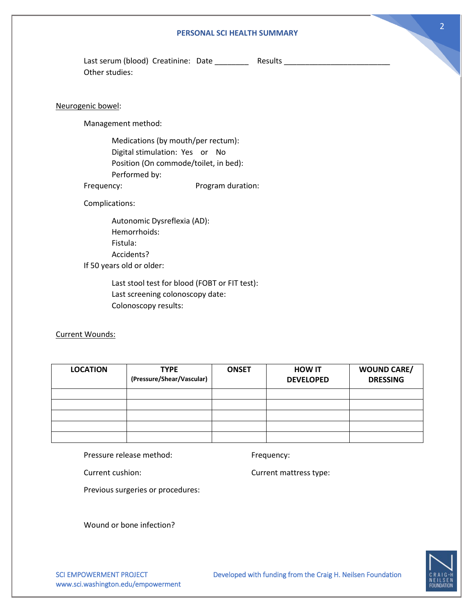#### **PERSONAL SCI HEALTH SUMMARY**

Last serum (blood) Creatinine: Date \_\_\_\_\_\_\_\_\_ Results \_\_\_\_\_\_\_\_\_\_\_\_\_\_\_\_\_\_\_\_\_\_\_\_\_\_ Other studies:

### Neurogenic bowel:

Management method:

Medications (by mouth/per rectum): Digital stimulation: Yes or No Position (On commode/toilet, in bed): Performed by: Frequency: Program duration:

Complications:

Autonomic Dysreflexia (AD): Hemorrhoids: Fistula: Accidents? If 50 years old or older:

> Last stool test for blood (FOBT or FIT test): Last screening colonoscopy date: Colonoscopy results:

Current Wounds:

| <b>LOCATION</b> | <b>TYPE</b><br>(Pressure/Shear/Vascular) | <b>ONSET</b> | <b>HOW IT</b><br><b>DEVELOPED</b> | <b>WOUND CARE/</b><br><b>DRESSING</b> |
|-----------------|------------------------------------------|--------------|-----------------------------------|---------------------------------------|
|                 |                                          |              |                                   |                                       |
|                 |                                          |              |                                   |                                       |
|                 |                                          |              |                                   |                                       |
|                 |                                          |              |                                   |                                       |
|                 |                                          |              |                                   |                                       |

Pressure release method: Frequency:

Current cushion: Current mattress type:

Previous surgeries or procedures:

Wound or bone infection?



www.sci.washington.edu/empowerment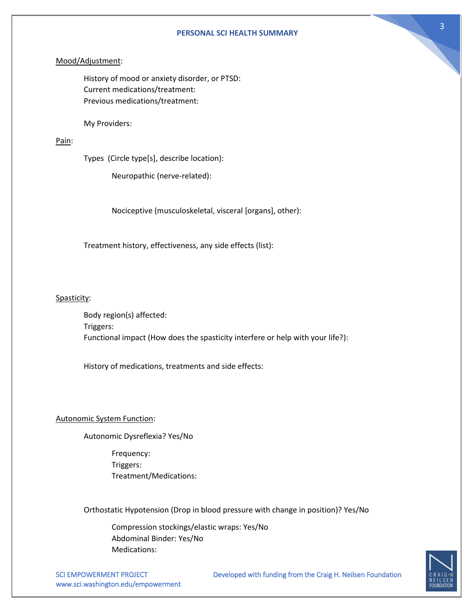#### **PERSONAL SCI HEALTH SUMMARY**

## Mood/Adjustment:

History of mood or anxiety disorder, or PTSD: Current medications/treatment: Previous medications/treatment:

My Providers:

## Pain:

Types (Circle type[s], describe location):

Neuropathic (nerve-related):

Nociceptive (musculoskeletal, visceral [organs], other):

Treatment history, effectiveness, any side effects (list):

## Spasticity:

Body region(s) affected: Triggers: Functional impact (How does the spasticity interfere or help with your life?):

History of medications, treatments and side effects:

#### Autonomic System Function:

Autonomic Dysreflexia? Yes/No

Frequency: Triggers: Treatment/Medications:

Orthostatic Hypotension (Drop in blood pressure with change in position)? Yes/No

Compression stockings/elastic wraps: Yes/No Abdominal Binder: Yes/No Medications:

www.sci.washington.edu/empowerment

SCI EMPOWERMENT PROJECT Developed with funding from the Craig H. Neilsen Foundation